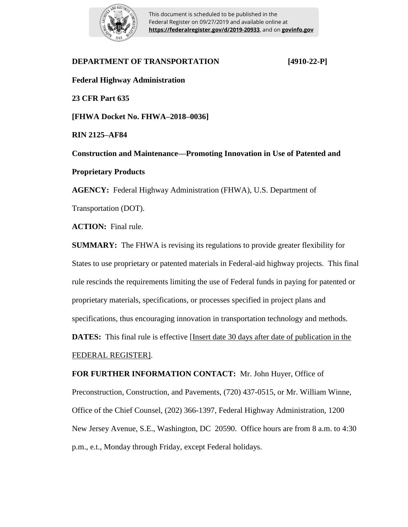

This document is scheduled to be published in the Federal Register on 09/27/2019 and available online at **https://federalregister.gov/d/2019-20933**, and on **govinfo.gov**

# **DEPARTMENT OF TRANSPORTATION [4910-22-P] Federal Highway Administration 23 CFR Part 635 [FHWA Docket No. FHWA–2018–0036] RIN 2125–AF84 Construction and Maintenance—Promoting Innovation in Use of Patented and Proprietary Products AGENCY:** Federal Highway Administration (FHWA), U.S. Department of Transportation (DOT). **ACTION:** Final rule.

**SUMMARY:** The FHWA is revising its regulations to provide greater flexibility for States to use proprietary or patented materials in Federal-aid highway projects. This final rule rescinds the requirements limiting the use of Federal funds in paying for patented or proprietary materials, specifications, or processes specified in project plans and specifications, thus encouraging innovation in transportation technology and methods. **DATES:** This final rule is effective [Insert date 30 days after date of publication in the FEDERAL REGISTER].

**FOR FURTHER INFORMATION CONTACT:** Mr. John Huyer, Office of Preconstruction, Construction, and Pavements, (720) 437-0515, or Mr. William Winne, Office of the Chief Counsel, (202) 366-1397, Federal Highway Administration, 1200 New Jersey Avenue, S.E., Washington, DC 20590. Office hours are from 8 a.m. to 4:30 p.m., e.t., Monday through Friday, except Federal holidays.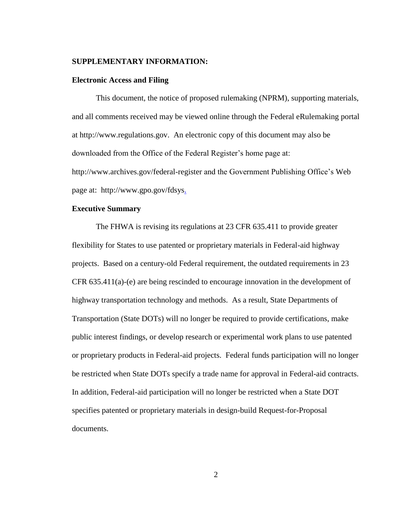#### **SUPPLEMENTARY INFORMATION:**

#### **Electronic Access and Filing**

This document, the notice of proposed rulemaking (NPRM), supporting materials, and all comments received may be viewed online through the Federal eRulemaking portal at http://www.regulations.gov. An electronic copy of this document may also be downloaded from the Office of the Federal Register's home page at: http://www.archives.gov/federal-register and the Government Publishing Office's Web page at: http://www.gpo.gov/fdsys.

## **Executive Summary**

The FHWA is revising its regulations at 23 CFR 635.411 to provide greater flexibility for States to use patented or proprietary materials in Federal-aid highway projects. Based on a century-old Federal requirement, the outdated requirements in 23 CFR 635.411(a)-(e) are being rescinded to encourage innovation in the development of highway transportation technology and methods. As a result, State Departments of Transportation (State DOTs) will no longer be required to provide certifications, make public interest findings, or develop research or experimental work plans to use patented or proprietary products in Federal-aid projects. Federal funds participation will no longer be restricted when State DOTs specify a trade name for approval in Federal-aid contracts. In addition, Federal-aid participation will no longer be restricted when a State DOT specifies patented or proprietary materials in design-build Request-for-Proposal documents.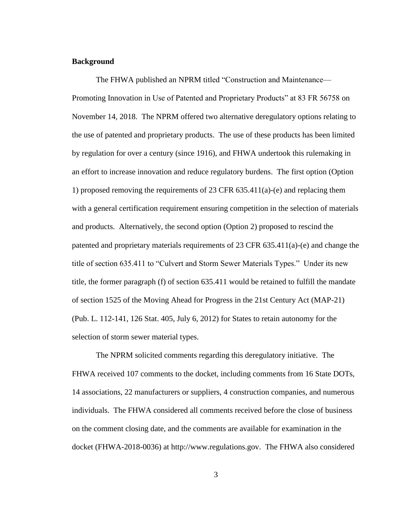## **Background**

The FHWA published an NPRM titled "Construction and Maintenance— Promoting Innovation in Use of Patented and Proprietary Products" at 83 FR 56758 on November 14, 2018. The NPRM offered two alternative deregulatory options relating to the use of patented and proprietary products. The use of these products has been limited by regulation for over a century (since 1916), and FHWA undertook this rulemaking in an effort to increase innovation and reduce regulatory burdens. The first option (Option 1) proposed removing the requirements of 23 CFR 635.411(a)-(e) and replacing them with a general certification requirement ensuring competition in the selection of materials and products. Alternatively, the second option (Option 2) proposed to rescind the patented and proprietary materials requirements of 23 CFR 635.411(a)-(e) and change the title of section 635.411 to "Culvert and Storm Sewer Materials Types." Under its new title, the former paragraph (f) of section 635.411 would be retained to fulfill the mandate of section 1525 of the Moving Ahead for Progress in the 21st Century Act (MAP-21) (Pub. L. 112-141, 126 Stat. 405, July 6, 2012) for States to retain autonomy for the selection of storm sewer material types.

The NPRM solicited comments regarding this deregulatory initiative. The FHWA received 107 comments to the docket, including comments from 16 State DOTs, 14 associations, 22 manufacturers or suppliers, 4 construction companies, and numerous individuals. The FHWA considered all comments received before the close of business on the comment closing date, and the comments are available for examination in the docket (FHWA-2018-0036) at http://www.regulations.gov. The FHWA also considered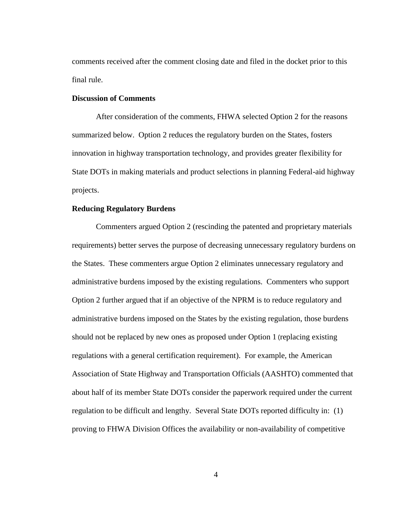comments received after the comment closing date and filed in the docket prior to this final rule.

#### **Discussion of Comments**

After consideration of the comments, FHWA selected Option 2 for the reasons summarized below. Option 2 reduces the regulatory burden on the States, fosters innovation in highway transportation technology, and provides greater flexibility for State DOTs in making materials and product selections in planning Federal-aid highway projects.

## **Reducing Regulatory Burdens**

Commenters argued Option 2 (rescinding the patented and proprietary materials requirements) better serves the purpose of decreasing unnecessary regulatory burdens on the States. These commenters argue Option 2 eliminates unnecessary regulatory and administrative burdens imposed by the existing regulations. Commenters who support Option 2 further argued that if an objective of the NPRM is to reduce regulatory and administrative burdens imposed on the States by the existing regulation, those burdens should not be replaced by new ones as proposed under Option 1 (replacing existing regulations with a general certification requirement). For example, the American Association of State Highway and Transportation Officials (AASHTO) commented that about half of its member State DOTs consider the paperwork required under the current regulation to be difficult and lengthy. Several State DOTs reported difficulty in: (1) proving to FHWA Division Offices the availability or non-availability of competitive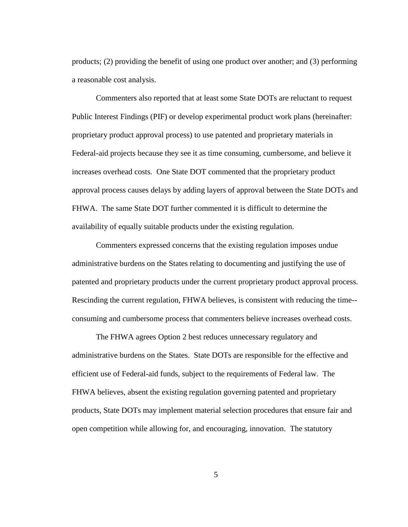products; (2) providing the benefit of using one product over another; and (3) performing a reasonable cost analysis.

Commenters also reported that at least some State DOTs are reluctant to request Public Interest Findings (PIF) or develop experimental product work plans (hereinafter: proprietary product approval process) to use patented and proprietary materials in Federal-aid projects because they see it as time consuming, cumbersome, and believe it increases overhead costs. One State DOT commented that the proprietary product approval process causes delays by adding layers of approval between the State DOTs and FHWA. The same State DOT further commented it is difficult to determine the availability of equally suitable products under the existing regulation.

Commenters expressed concerns that the existing regulation imposes undue administrative burdens on the States relating to documenting and justifying the use of patented and proprietary products under the current proprietary product approval process. Rescinding the current regulation, FHWA believes, is consistent with reducing the time- consuming and cumbersome process that commenters believe increases overhead costs.

The FHWA agrees Option 2 best reduces unnecessary regulatory and administrative burdens on the States. State DOTs are responsible for the effective and efficient use of Federal-aid funds, subject to the requirements of Federal law. The FHWA believes, absent the existing regulation governing patented and proprietary products, State DOTs may implement material selection procedures that ensure fair and open competition while allowing for, and encouraging, innovation. The statutory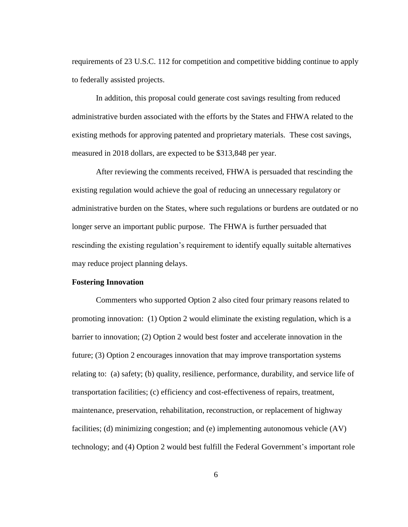requirements of 23 U.S.C. 112 for competition and competitive bidding continue to apply to federally assisted projects.

In addition, this proposal could generate cost savings resulting from reduced administrative burden associated with the efforts by the States and FHWA related to the existing methods for approving patented and proprietary materials. These cost savings, measured in 2018 dollars, are expected to be \$313,848 per year.

After reviewing the comments received, FHWA is persuaded that rescinding the existing regulation would achieve the goal of reducing an unnecessary regulatory or administrative burden on the States, where such regulations or burdens are outdated or no longer serve an important public purpose. The FHWA is further persuaded that rescinding the existing regulation's requirement to identify equally suitable alternatives may reduce project planning delays.

## **Fostering Innovation**

Commenters who supported Option 2 also cited four primary reasons related to promoting innovation: (1) Option 2 would eliminate the existing regulation, which is a barrier to innovation; (2) Option 2 would best foster and accelerate innovation in the future; (3) Option 2 encourages innovation that may improve transportation systems relating to: (a) safety; (b) quality, resilience, performance, durability, and service life of transportation facilities; (c) efficiency and cost-effectiveness of repairs, treatment, maintenance, preservation, rehabilitation, reconstruction, or replacement of highway facilities; (d) minimizing congestion; and (e) implementing autonomous vehicle (AV) technology; and (4) Option 2 would best fulfill the Federal Government's important role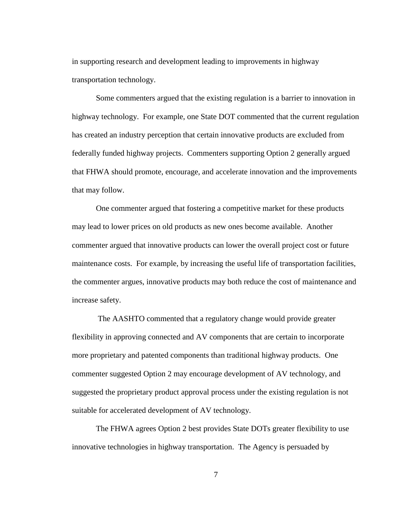in supporting research and development leading to improvements in highway transportation technology.

Some commenters argued that the existing regulation is a barrier to innovation in highway technology. For example, one State DOT commented that the current regulation has created an industry perception that certain innovative products are excluded from federally funded highway projects. Commenters supporting Option 2 generally argued that FHWA should promote, encourage, and accelerate innovation and the improvements that may follow.

One commenter argued that fostering a competitive market for these products may lead to lower prices on old products as new ones become available. Another commenter argued that innovative products can lower the overall project cost or future maintenance costs. For example, by increasing the useful life of transportation facilities, the commenter argues, innovative products may both reduce the cost of maintenance and increase safety.

The AASHTO commented that a regulatory change would provide greater flexibility in approving connected and AV components that are certain to incorporate more proprietary and patented components than traditional highway products. One commenter suggested Option 2 may encourage development of AV technology, and suggested the proprietary product approval process under the existing regulation is not suitable for accelerated development of AV technology.

The FHWA agrees Option 2 best provides State DOTs greater flexibility to use innovative technologies in highway transportation. The Agency is persuaded by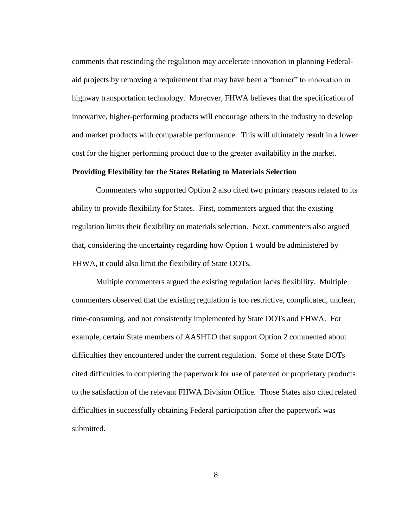comments that rescinding the regulation may accelerate innovation in planning Federalaid projects by removing a requirement that may have been a "barrier" to innovation in highway transportation technology. Moreover, FHWA believes that the specification of innovative, higher-performing products will encourage others in the industry to develop and market products with comparable performance. This will ultimately result in a lower cost for the higher performing product due to the greater availability in the market.

## **Providing Flexibility for the States Relating to Materials Selection**

Commenters who supported Option 2 also cited two primary reasons related to its ability to provide flexibility for States. First, commenters argued that the existing regulation limits their flexibility on materials selection. Next, commenters also argued that, considering the uncertainty regarding how Option 1 would be administered by FHWA, it could also limit the flexibility of State DOTs.

Multiple commenters argued the existing regulation lacks flexibility. Multiple commenters observed that the existing regulation is too restrictive, complicated, unclear, time-consuming, and not consistently implemented by State DOTs and FHWA. For example, certain State members of AASHTO that support Option 2 commented about difficulties they encountered under the current regulation. Some of these State DOTs cited difficulties in completing the paperwork for use of patented or proprietary products to the satisfaction of the relevant FHWA Division Office. Those States also cited related difficulties in successfully obtaining Federal participation after the paperwork was submitted.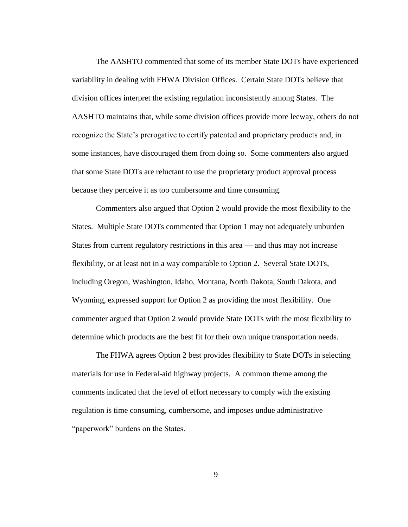The AASHTO commented that some of its member State DOTs have experienced variability in dealing with FHWA Division Offices. Certain State DOTs believe that division offices interpret the existing regulation inconsistently among States. The AASHTO maintains that, while some division offices provide more leeway, others do not recognize the State's prerogative to certify patented and proprietary products and, in some instances, have discouraged them from doing so. Some commenters also argued that some State DOTs are reluctant to use the proprietary product approval process because they perceive it as too cumbersome and time consuming.

Commenters also argued that Option 2 would provide the most flexibility to the States. Multiple State DOTs commented that Option 1 may not adequately unburden States from current regulatory restrictions in this area — and thus may not increase flexibility, or at least not in a way comparable to Option 2. Several State DOTs, including Oregon, Washington, Idaho, Montana, North Dakota, South Dakota, and Wyoming, expressed support for Option 2 as providing the most flexibility. One commenter argued that Option 2 would provide State DOTs with the most flexibility to determine which products are the best fit for their own unique transportation needs.

The FHWA agrees Option 2 best provides flexibility to State DOTs in selecting materials for use in Federal-aid highway projects. A common theme among the comments indicated that the level of effort necessary to comply with the existing regulation is time consuming, cumbersome, and imposes undue administrative "paperwork" burdens on the States.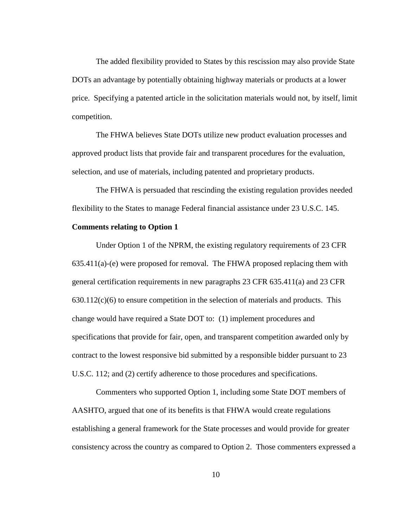The added flexibility provided to States by this rescission may also provide State DOTs an advantage by potentially obtaining highway materials or products at a lower price. Specifying a patented article in the solicitation materials would not, by itself, limit competition.

The FHWA believes State DOTs utilize new product evaluation processes and approved product lists that provide fair and transparent procedures for the evaluation, selection, and use of materials, including patented and proprietary products.

The FHWA is persuaded that rescinding the existing regulation provides needed flexibility to the States to manage Federal financial assistance under 23 U.S.C. 145.

## **Comments relating to Option 1**

Under Option 1 of the NPRM, the existing regulatory requirements of 23 CFR 635.411(a)-(e) were proposed for removal. The FHWA proposed replacing them with general certification requirements in new paragraphs 23 CFR 635.411(a) and 23 CFR  $630.112(c)(6)$  to ensure competition in the selection of materials and products. This change would have required a State DOT to: (1) implement procedures and specifications that provide for fair, open, and transparent competition awarded only by contract to the lowest responsive bid submitted by a responsible bidder pursuant to 23 U.S.C. 112; and (2) certify adherence to those procedures and specifications.

Commenters who supported Option 1, including some State DOT members of AASHTO, argued that one of its benefits is that FHWA would create regulations establishing a general framework for the State processes and would provide for greater consistency across the country as compared to Option 2. Those commenters expressed a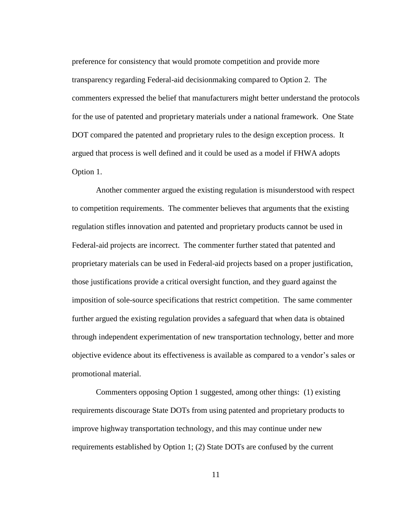preference for consistency that would promote competition and provide more transparency regarding Federal-aid decisionmaking compared to Option 2. The commenters expressed the belief that manufacturers might better understand the protocols for the use of patented and proprietary materials under a national framework. One State DOT compared the patented and proprietary rules to the design exception process. It argued that process is well defined and it could be used as a model if FHWA adopts Option 1.

Another commenter argued the existing regulation is misunderstood with respect to competition requirements. The commenter believes that arguments that the existing regulation stifles innovation and patented and proprietary products cannot be used in Federal-aid projects are incorrect. The commenter further stated that patented and proprietary materials can be used in Federal-aid projects based on a proper justification, those justifications provide a critical oversight function, and they guard against the imposition of sole-source specifications that restrict competition. The same commenter further argued the existing regulation provides a safeguard that when data is obtained through independent experimentation of new transportation technology, better and more objective evidence about its effectiveness is available as compared to a vendor's sales or promotional material.

Commenters opposing Option 1 suggested, among other things: (1) existing requirements discourage State DOTs from using patented and proprietary products to improve highway transportation technology, and this may continue under new requirements established by Option 1; (2) State DOTs are confused by the current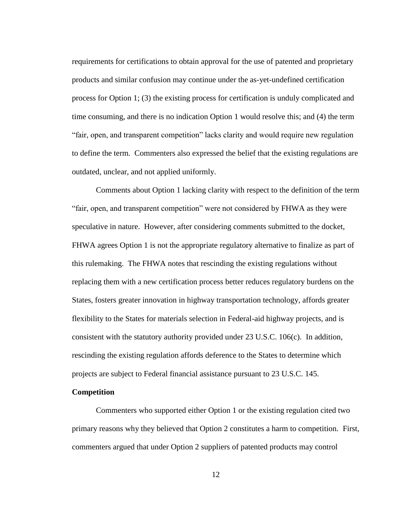requirements for certifications to obtain approval for the use of patented and proprietary products and similar confusion may continue under the as-yet-undefined certification process for Option 1; (3) the existing process for certification is unduly complicated and time consuming, and there is no indication Option 1 would resolve this; and (4) the term "fair, open, and transparent competition" lacks clarity and would require new regulation to define the term. Commenters also expressed the belief that the existing regulations are outdated, unclear, and not applied uniformly.

Comments about Option 1 lacking clarity with respect to the definition of the term "fair, open, and transparent competition" were not considered by FHWA as they were speculative in nature. However, after considering comments submitted to the docket, FHWA agrees Option 1 is not the appropriate regulatory alternative to finalize as part of this rulemaking. The FHWA notes that rescinding the existing regulations without replacing them with a new certification process better reduces regulatory burdens on the States, fosters greater innovation in highway transportation technology, affords greater flexibility to the States for materials selection in Federal-aid highway projects, and is consistent with the statutory authority provided under 23 U.S.C. 106(c). In addition, rescinding the existing regulation affords deference to the States to determine which projects are subject to Federal financial assistance pursuant to 23 U.S.C. 145.

## **Competition**

Commenters who supported either Option 1 or the existing regulation cited two primary reasons why they believed that Option 2 constitutes a harm to competition. First, commenters argued that under Option 2 suppliers of patented products may control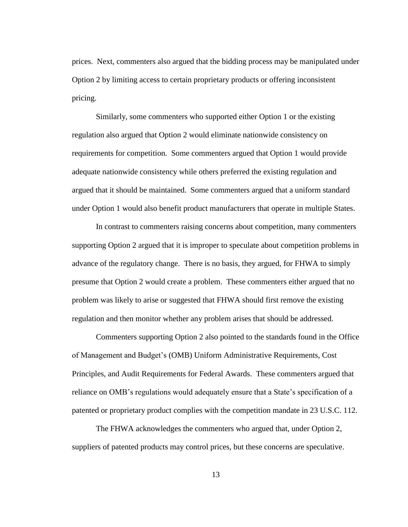prices. Next, commenters also argued that the bidding process may be manipulated under Option 2 by limiting access to certain proprietary products or offering inconsistent pricing.

Similarly, some commenters who supported either Option 1 or the existing regulation also argued that Option 2 would eliminate nationwide consistency on requirements for competition. Some commenters argued that Option 1 would provide adequate nationwide consistency while others preferred the existing regulation and argued that it should be maintained. Some commenters argued that a uniform standard under Option 1 would also benefit product manufacturers that operate in multiple States.

In contrast to commenters raising concerns about competition, many commenters supporting Option 2 argued that it is improper to speculate about competition problems in advance of the regulatory change. There is no basis, they argued, for FHWA to simply presume that Option 2 would create a problem. These commenters either argued that no problem was likely to arise or suggested that FHWA should first remove the existing regulation and then monitor whether any problem arises that should be addressed.

Commenters supporting Option 2 also pointed to the standards found in the Office of Management and Budget's (OMB) Uniform Administrative Requirements, Cost Principles, and Audit Requirements for Federal Awards. These commenters argued that reliance on OMB's regulations would adequately ensure that a State's specification of a patented or proprietary product complies with the competition mandate in 23 U.S.C. 112.

The FHWA acknowledges the commenters who argued that, under Option 2, suppliers of patented products may control prices, but these concerns are speculative.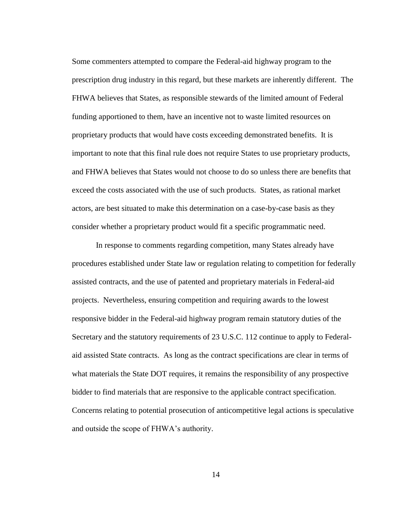Some commenters attempted to compare the Federal-aid highway program to the prescription drug industry in this regard, but these markets are inherently different. The FHWA believes that States, as responsible stewards of the limited amount of Federal funding apportioned to them, have an incentive not to waste limited resources on proprietary products that would have costs exceeding demonstrated benefits. It is important to note that this final rule does not require States to use proprietary products, and FHWA believes that States would not choose to do so unless there are benefits that exceed the costs associated with the use of such products. States, as rational market actors, are best situated to make this determination on a case-by-case basis as they consider whether a proprietary product would fit a specific programmatic need.

In response to comments regarding competition, many States already have procedures established under State law or regulation relating to competition for federally assisted contracts, and the use of patented and proprietary materials in Federal-aid projects. Nevertheless, ensuring competition and requiring awards to the lowest responsive bidder in the Federal-aid highway program remain statutory duties of the Secretary and the statutory requirements of 23 U.S.C. 112 continue to apply to Federalaid assisted State contracts. As long as the contract specifications are clear in terms of what materials the State DOT requires, it remains the responsibility of any prospective bidder to find materials that are responsive to the applicable contract specification. Concerns relating to potential prosecution of anticompetitive legal actions is speculative and outside the scope of FHWA's authority.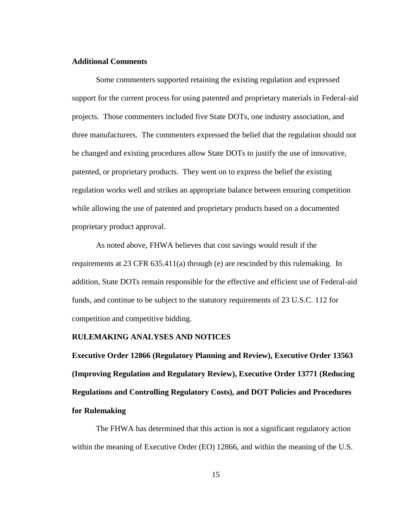## **Additional Comments**

Some commenters supported retaining the existing regulation and expressed support for the current process for using patented and proprietary materials in Federal-aid projects. Those commenters included five State DOTs, one industry association, and three manufacturers. The commenters expressed the belief that the regulation should not be changed and existing procedures allow State DOTs to justify the use of innovative, patented, or proprietary products. They went on to express the belief the existing regulation works well and strikes an appropriate balance between ensuring competition while allowing the use of patented and proprietary products based on a documented proprietary product approval.

As noted above, FHWA believes that cost savings would result if the requirements at 23 CFR 635.411(a) through (e) are rescinded by this rulemaking. In addition, State DOTs remain responsible for the effective and efficient use of Federal-aid funds, and continue to be subject to the statutory requirements of 23 U.S.C. 112 for competition and competitive bidding.

## **RULEMAKING ANALYSES AND NOTICES**

**Executive Order 12866 (Regulatory Planning and Review), Executive Order 13563 (Improving Regulation and Regulatory Review), Executive Order 13771 (Reducing Regulations and Controlling Regulatory Costs), and DOT Policies and Procedures for Rulemaking**

The FHWA has determined that this action is not a significant regulatory action within the meaning of Executive Order (EO) 12866, and within the meaning of the U.S.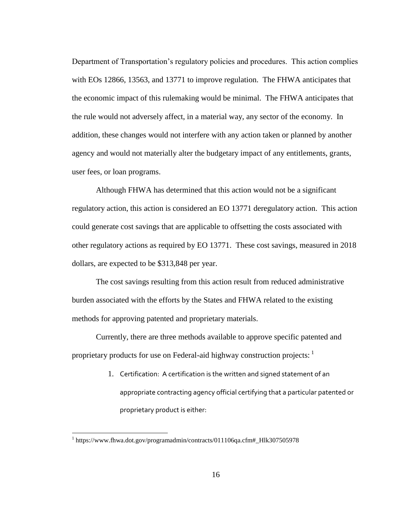Department of Transportation's regulatory policies and procedures. This action complies with EOs 12866, 13563, and 13771 to improve regulation. The FHWA anticipates that the economic impact of this rulemaking would be minimal. The FHWA anticipates that the rule would not adversely affect, in a material way, any sector of the economy. In addition, these changes would not interfere with any action taken or planned by another agency and would not materially alter the budgetary impact of any entitlements, grants, user fees, or loan programs.

Although FHWA has determined that this action would not be a significant regulatory action, this action is considered an EO 13771 deregulatory action. This action could generate cost savings that are applicable to offsetting the costs associated with other regulatory actions as required by EO 13771. These cost savings, measured in 2018 dollars, are expected to be \$313,848 per year.

The cost savings resulting from this action result from reduced administrative burden associated with the efforts by the States and FHWA related to the existing methods for approving patented and proprietary materials.

Currently, there are three methods available to approve specific patented and proprietary products for use on Federal-aid highway construction projects: <sup>1</sup>

> 1. Certification: A certification is the written and signed statement of an appropriate contracting agency official certifying that a particular patented or proprietary product is either:

 $\overline{a}$ 

<sup>&</sup>lt;sup>1</sup> https://www.fhwa.dot.gov/programadmin/contracts/011106qa.cfm#\_Hlk307505978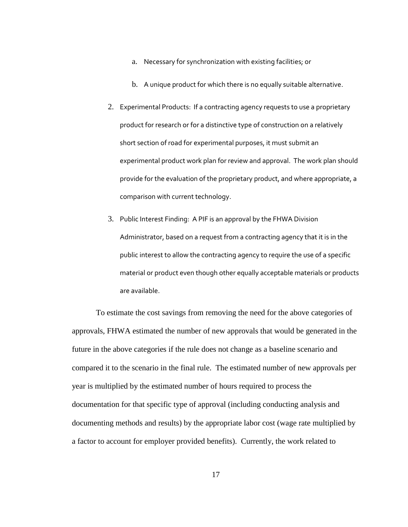- a. Necessary for synchronization with existing facilities; or
- b. A unique product for which there is no equally suitable alternative.
- 2. Experimental Products: If a contracting agency requests to use a proprietary product for research or for a distinctive type of construction on a relatively short section of road for experimental purposes, it must submit an experimental product work plan for review and approval. The work plan should provide for the evaluation of the proprietary product, and where appropriate, a comparison with current technology.
- 3. Public Interest Finding: A PIF is an approval by the FHWA Division Administrator, based on a request from a contracting agency that it is in the public interest to allow the contracting agency to require the use of a specific material or product even though other equally acceptable materials or products are available.

To estimate the cost savings from removing the need for the above categories of approvals, FHWA estimated the number of new approvals that would be generated in the future in the above categories if the rule does not change as a baseline scenario and compared it to the scenario in the final rule. The estimated number of new approvals per year is multiplied by the estimated number of hours required to process the documentation for that specific type of approval (including conducting analysis and documenting methods and results) by the appropriate labor cost (wage rate multiplied by a factor to account for employer provided benefits). Currently, the work related to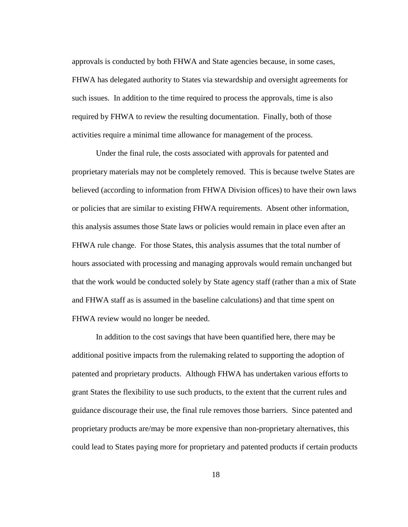approvals is conducted by both FHWA and State agencies because, in some cases, FHWA has delegated authority to States via stewardship and oversight agreements for such issues. In addition to the time required to process the approvals, time is also required by FHWA to review the resulting documentation. Finally, both of those activities require a minimal time allowance for management of the process.

Under the final rule, the costs associated with approvals for patented and proprietary materials may not be completely removed. This is because twelve States are believed (according to information from FHWA Division offices) to have their own laws or policies that are similar to existing FHWA requirements. Absent other information, this analysis assumes those State laws or policies would remain in place even after an FHWA rule change. For those States, this analysis assumes that the total number of hours associated with processing and managing approvals would remain unchanged but that the work would be conducted solely by State agency staff (rather than a mix of State and FHWA staff as is assumed in the baseline calculations) and that time spent on FHWA review would no longer be needed.

In addition to the cost savings that have been quantified here, there may be additional positive impacts from the rulemaking related to supporting the adoption of patented and proprietary products. Although FHWA has undertaken various efforts to grant States the flexibility to use such products, to the extent that the current rules and guidance discourage their use, the final rule removes those barriers. Since patented and proprietary products are/may be more expensive than non-proprietary alternatives, this could lead to States paying more for proprietary and patented products if certain products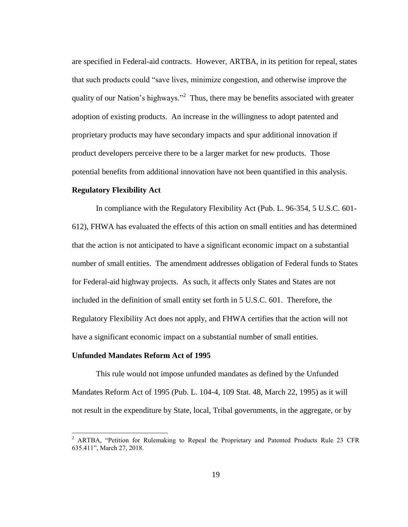are specified in Federal-aid contracts. However, ARTBA, in its petition for repeal, states that such products could "save lives, minimize congestion, and otherwise improve the quality of our Nation's highways."<sup>2</sup> Thus, there may be benefits associated with greater adoption of existing products. An increase in the willingness to adopt patented and proprietary products may have secondary impacts and spur additional innovation if product developers perceive there to be a larger market for new products. Those potential benefits from additional innovation have not been quantified in this analysis.

## **Regulatory Flexibility Act**

In compliance with the Regulatory Flexibility Act (Pub. L. 96-354, 5 U.S.C. 601- 612), FHWA has evaluated the effects of this action on small entities and has determined that the action is not anticipated to have a significant economic impact on a substantial number of small entities. The amendment addresses obligation of Federal funds to States for Federal-aid highway projects. As such, it affects only States and States are not included in the definition of small entity set forth in 5 U.S.C. 601. Therefore, the Regulatory Flexibility Act does not apply, and FHWA certifies that the action will not have a significant economic impact on a substantial number of small entities.

## **Unfunded Mandates Reform Act of 1995**

This rule would not impose unfunded mandates as defined by the Unfunded Mandates Reform Act of 1995 (Pub. L. 104-4, 109 Stat. 48, March 22, 1995) as it will not result in the expenditure by State, local, Tribal governments, in the aggregate, or by

<sup>&</sup>lt;sup>2</sup> ARTBA, "Petition for Rulemaking to Repeal the Proprietary and Patented Products Rule 23 CFR 635.411", March 27, 2018.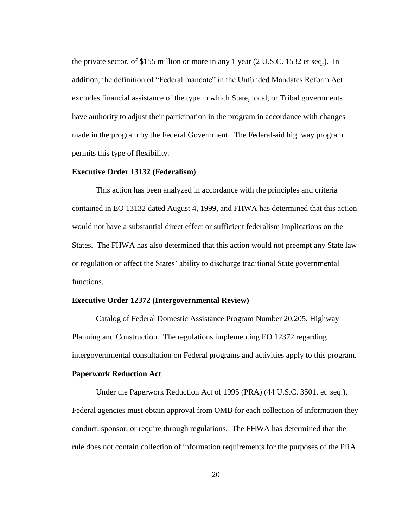the private sector, of \$155 million or more in any 1 year (2 U.S.C. 1532 et seq.). In addition, the definition of "Federal mandate" in the Unfunded Mandates Reform Act excludes financial assistance of the type in which State, local, or Tribal governments have authority to adjust their participation in the program in accordance with changes made in the program by the Federal Government. The Federal-aid highway program permits this type of flexibility.

#### **Executive Order 13132 (Federalism)**

This action has been analyzed in accordance with the principles and criteria contained in EO 13132 dated August 4, 1999, and FHWA has determined that this action would not have a substantial direct effect or sufficient federalism implications on the States. The FHWA has also determined that this action would not preempt any State law or regulation or affect the States' ability to discharge traditional State governmental functions.

### **Executive Order 12372 (Intergovernmental Review)**

Catalog of Federal Domestic Assistance Program Number 20.205, Highway Planning and Construction. The regulations implementing EO 12372 regarding intergovernmental consultation on Federal programs and activities apply to this program.

## **Paperwork Reduction Act**

Under the Paperwork Reduction Act of 1995 (PRA) (44 U.S.C. 3501, et. seq.), Federal agencies must obtain approval from OMB for each collection of information they conduct, sponsor, or require through regulations. The FHWA has determined that the rule does not contain collection of information requirements for the purposes of the PRA.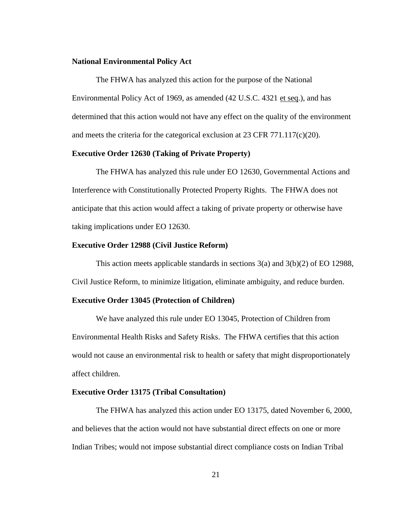## **National Environmental Policy Act**

The FHWA has analyzed this action for the purpose of the National Environmental Policy Act of 1969, as amended (42 U.S.C. 4321 et seq.), and has determined that this action would not have any effect on the quality of the environment and meets the criteria for the categorical exclusion at 23 CFR 771.117(c)(20).

# **Executive Order 12630 (Taking of Private Property)**

The FHWA has analyzed this rule under EO 12630, Governmental Actions and Interference with Constitutionally Protected Property Rights. The FHWA does not anticipate that this action would affect a taking of private property or otherwise have taking implications under EO 12630.

## **Executive Order 12988 (Civil Justice Reform)**

This action meets applicable standards in sections 3(a) and 3(b)(2) of EO 12988, Civil Justice Reform, to minimize litigation, eliminate ambiguity, and reduce burden.

### **Executive Order 13045 (Protection of Children)**

We have analyzed this rule under EO 13045, Protection of Children from Environmental Health Risks and Safety Risks. The FHWA certifies that this action would not cause an environmental risk to health or safety that might disproportionately affect children.

## **Executive Order 13175 (Tribal Consultation)**

The FHWA has analyzed this action under EO 13175, dated November 6, 2000, and believes that the action would not have substantial direct effects on one or more Indian Tribes; would not impose substantial direct compliance costs on Indian Tribal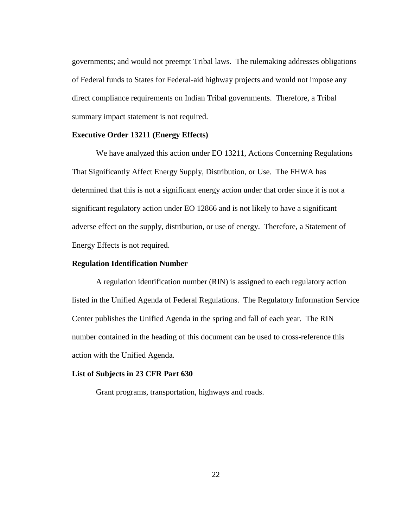governments; and would not preempt Tribal laws. The rulemaking addresses obligations of Federal funds to States for Federal-aid highway projects and would not impose any direct compliance requirements on Indian Tribal governments. Therefore, a Tribal summary impact statement is not required.

### **Executive Order 13211 (Energy Effects)**

We have analyzed this action under EO 13211, Actions Concerning Regulations That Significantly Affect Energy Supply, Distribution, or Use. The FHWA has determined that this is not a significant energy action under that order since it is not a significant regulatory action under EO 12866 and is not likely to have a significant adverse effect on the supply, distribution, or use of energy. Therefore, a Statement of Energy Effects is not required.

## **Regulation Identification Number**

A regulation identification number (RIN) is assigned to each regulatory action listed in the Unified Agenda of Federal Regulations. The Regulatory Information Service Center publishes the Unified Agenda in the spring and fall of each year. The RIN number contained in the heading of this document can be used to cross-reference this action with the Unified Agenda.

### **List of Subjects in 23 CFR Part 630**

Grant programs, transportation, highways and roads.